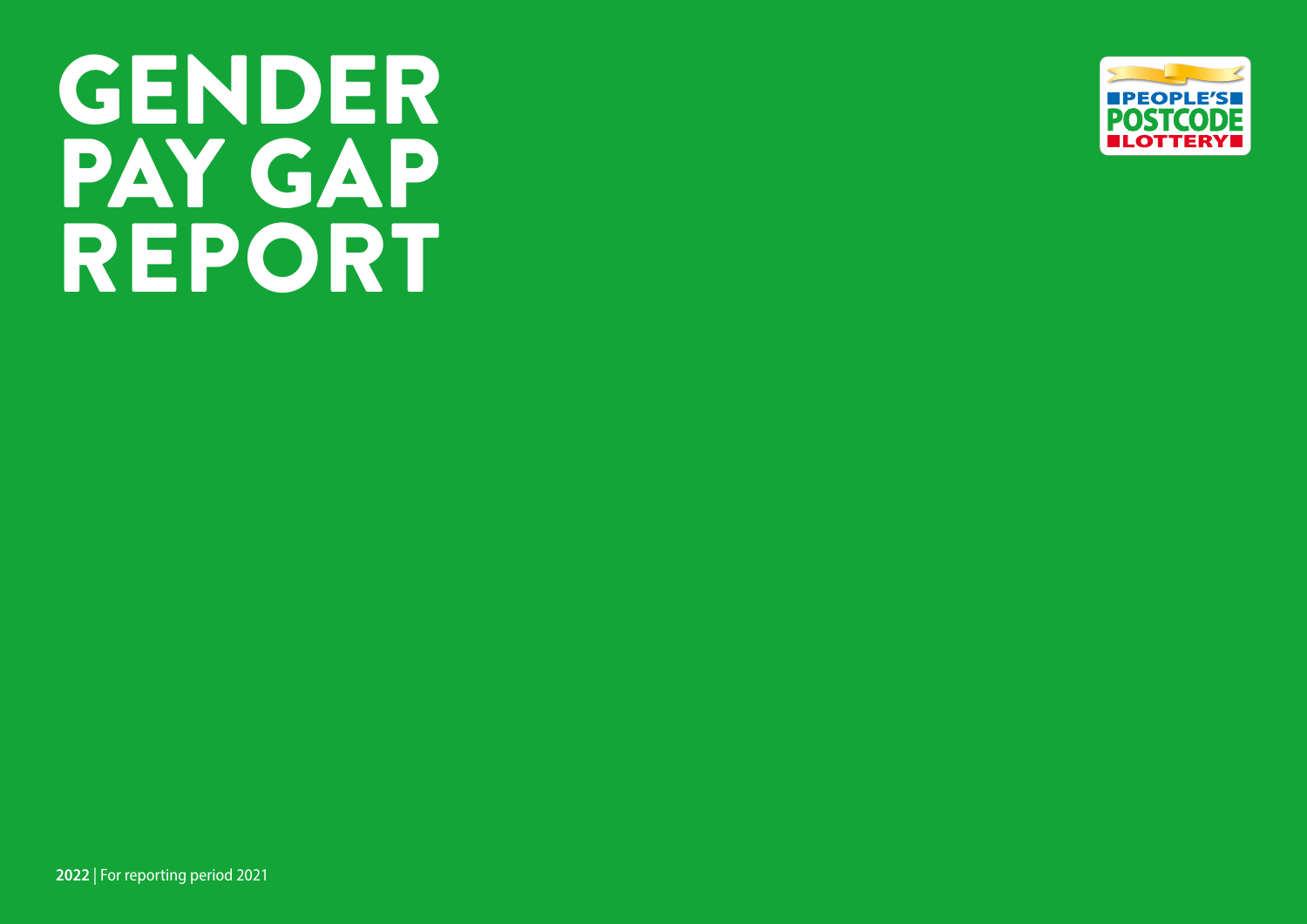# GENDER PAY GAP REPORT

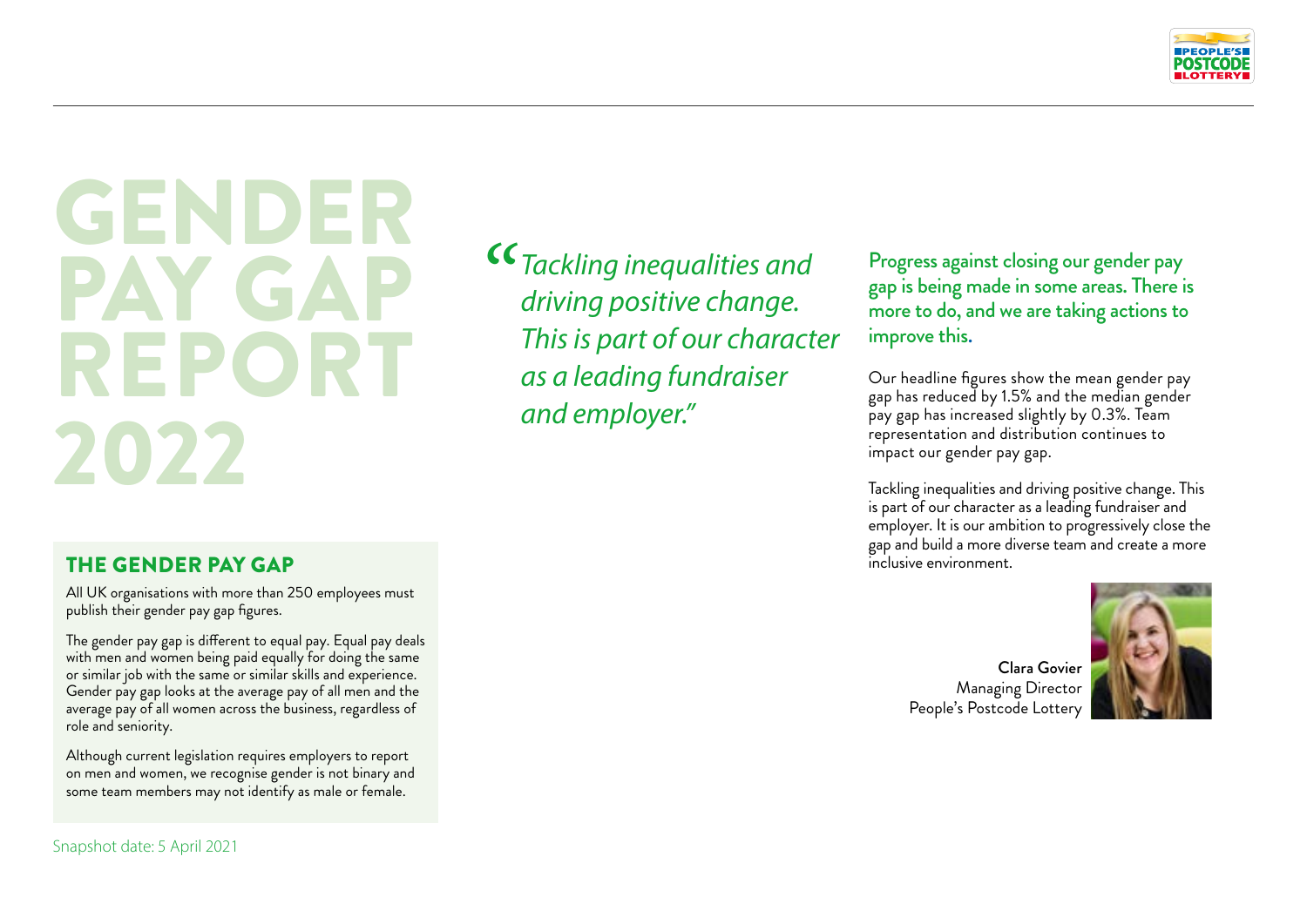

## GENDER PAY GAI REPORT 2022

*" Tackling inequalities and driving positive change. This is part of our character as a leading fundraiser and employer."*

Progress against closing our gender pay gap is being made in some areas. There is more to do, and we are taking actions to improve this.

Our headline figures show the mean gender pay gap has reduced by 1.5% and the median gender pay gap has increased slightly by 0.3%. Team representation and distribution continues to impact our gender pay gap.

Tackling inequalities and driving positive change. This is part of our character as a leading fundraiser and employer. It is our ambition to progressively close the gap and build a more diverse team and create a more inclusive environment.

Clara Govier Managing Director People's Postcode Lottery



### THE GENDER PAY GAP

All UK organisations with more than 250 employees must publish their gender pay gap figures.

The gender pay gap is different to equal pay. Equal pay deals with men and women being paid equally for doing the same or similar job with the same or similar skills and experience. Gender pay gap looks at the average pay of all men and the average pay of all women across the business, regardless of role and seniority.

Although current legislation requires employers to report on men and women, we recognise gender is not binary and some team members may not identify as male or female.

Snapshot date: 5 April 2021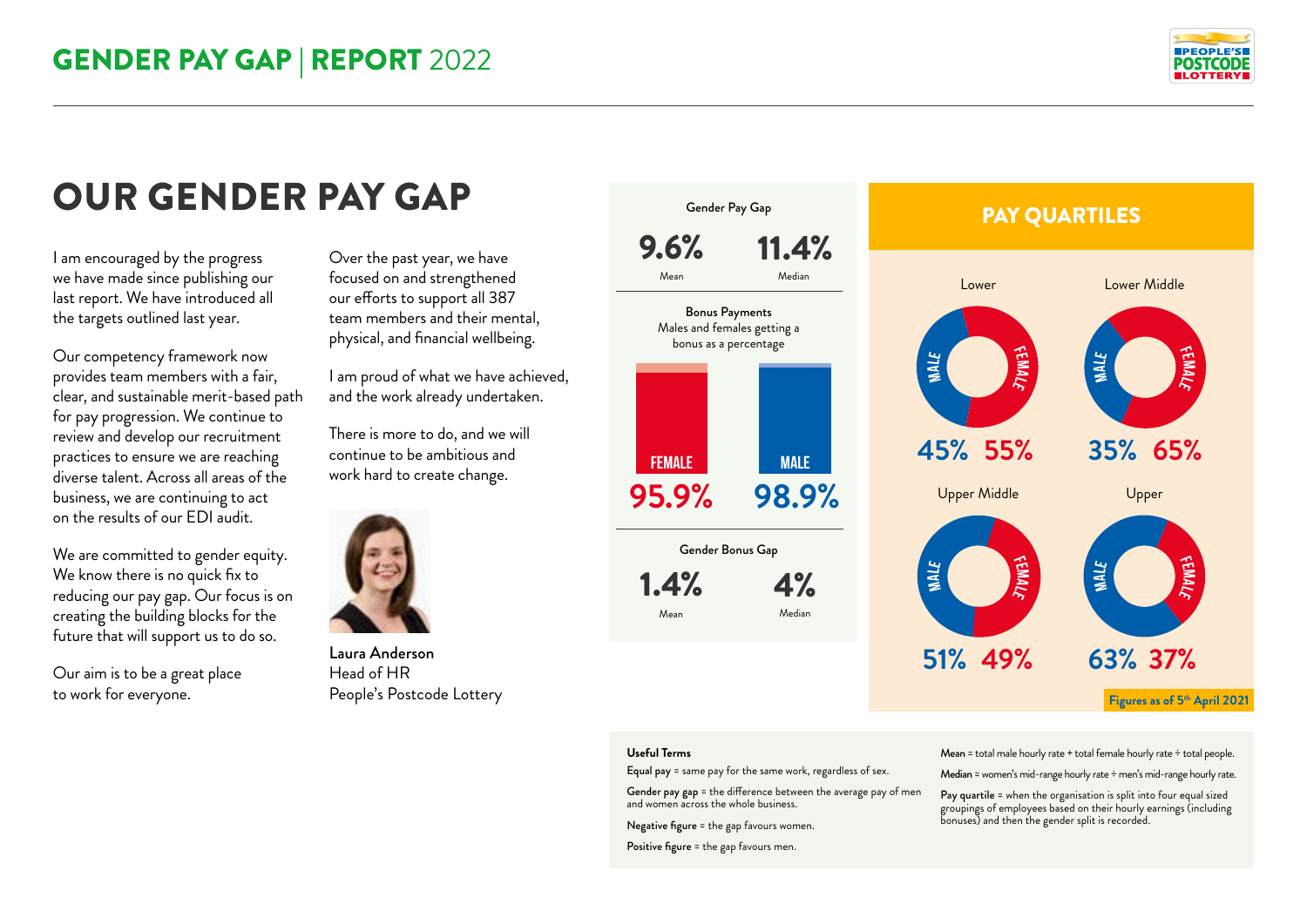

I am encouraged by the progress we have made since publishing our last report. We have introduced all the targets outlined last year.

Our competency framework now provides team members with a fair, clear, and sustainable merit-based path for pay progression. We continue to review and develop our recruitment practices to ensure we are reaching diverse talent. Across all areas of the business, we are continuing to act on the results of our EDI audit.

We are committed to gender equity. We know there is no quick fix to reducing our pay gap. Our focus is on creating the building blocks for the future that will support us to do so.

Our aim is to be a great place to work for everyone.

Over the past year, we have focused on and strengthened our efforts to support all 387 team members and their mental, physical, and financial wellbeing.

I am proud of what we have achieved, and the work already undertaken.

There is more to do, and we will continue to be ambitious and work hard to create change.



Laura Anderson Head of HR People's Postcode Lottery



#### **Useful Terms**

Equal pay = same pay for the same work, regardless of sex.

Gender pay gap = the difference between the average pay of men and women across the whole business.

Negative figure = the gap favours women.

Positive figure = the gap favours men.

Mean = total male hourly rate + total female hourly rate ÷ total people.

Median = women's mid-range hourly rate ÷ men's mid-range hourly rate.

Pay quartile = when the organisation is split into four equal sized groupings of employees based on their hourly earnings (including bonuses) and then the gender split is recorded.